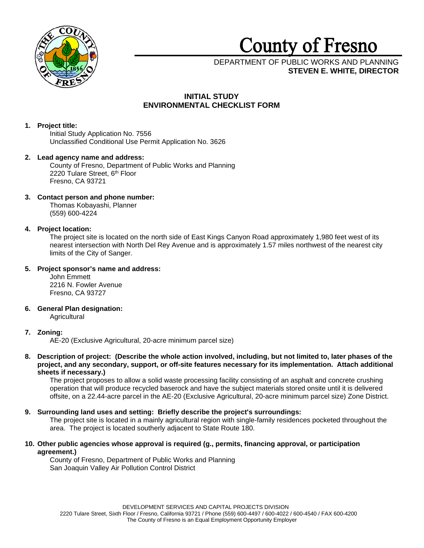

# **County** of **Fresno**

DEPARTMENT OF PUBLIC WORKS AND PLANNING **STEVEN E. WHITE, DIRECTOR**

# **INITIAL STUDY ENVIRONMENTAL CHECKLIST FORM**

# **1. Project title:**

Initial Study Application No. 7556 Unclassified Conditional Use Permit Application No. 3626

# **2. Lead agency name and address:** County of Fresno, Department of Public Works and Planning

2220 Tulare Street, 6<sup>th</sup> Floor Fresno, CA 93721

# **3. Contact person and phone number:**

Thomas Kobayashi, Planner (559) 600-4224

# **4. Project location:**

The project site is located on the north side of East Kings Canyon Road approximately 1,980 feet west of its nearest intersection with North Del Rey Avenue and is approximately 1.57 miles northwest of the nearest city limits of the City of Sanger.

# **5. Project sponsor's name and address:**

John Emmett 2216 N. Fowler Avenue Fresno, CA 93727

## **6. General Plan designation: Agricultural**

# **7. Zoning:**

AE-20 (Exclusive Agricultural, 20-acre minimum parcel size)

**8. Description of project: (Describe the whole action involved, including, but not limited to, later phases of the project, and any secondary, support, or off-site features necessary for its implementation. Attach additional sheets if necessary.)**

The project proposes to allow a solid waste processing facility consisting of an asphalt and concrete crushing operation that will produce recycled baserock and have the subject materials stored onsite until it is delivered offsite, on a 22.44-acre parcel in the AE-20 (Exclusive Agricultural, 20-acre minimum parcel size) Zone District.

# **9. Surrounding land uses and setting: Briefly describe the project's surroundings:**

The project site is located in a mainly agricultural region with single-family residences pocketed throughout the area. The project is located southerly adjacent to State Route 180.

**10. Other public agencies whose approval is required (g., permits, financing approval, or participation agreement.)**

County of Fresno, Department of Public Works and Planning San Joaquin Valley Air Pollution Control District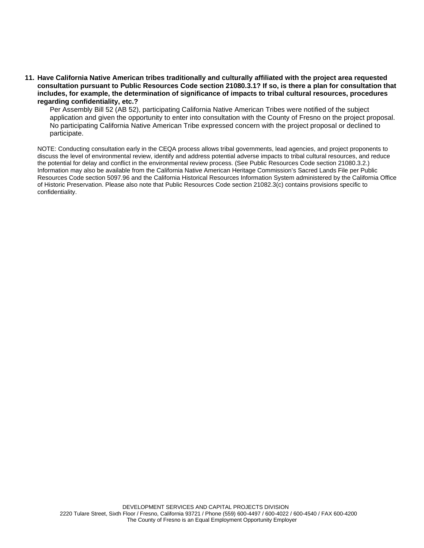**11. Have California Native American tribes traditionally and culturally affiliated with the project area requested consultation pursuant to Public Resources Code section 21080.3.1? If so, is there a plan for consultation that includes, for example, the determination of significance of impacts to tribal cultural resources, procedures regarding confidentiality, etc.?**

Per Assembly Bill 52 (AB 52), participating California Native American Tribes were notified of the subject application and given the opportunity to enter into consultation with the County of Fresno on the project proposal. No participating California Native American Tribe expressed concern with the project proposal or declined to participate.

NOTE: Conducting consultation early in the CEQA process allows tribal governments, lead agencies, and project proponents to discuss the level of environmental review, identify and address potential adverse impacts to tribal cultural resources, and reduce the potential for delay and conflict in the environmental review process. (See Public Resources Code section 21080.3.2.) Information may also be available from the California Native American Heritage Commission's Sacred Lands File per Public Resources Code section 5097.96 and the California Historical Resources Information System administered by the California Office of Historic Preservation. Please also note that Public Resources Code section 21082.3(c) contains provisions specific to confidentiality.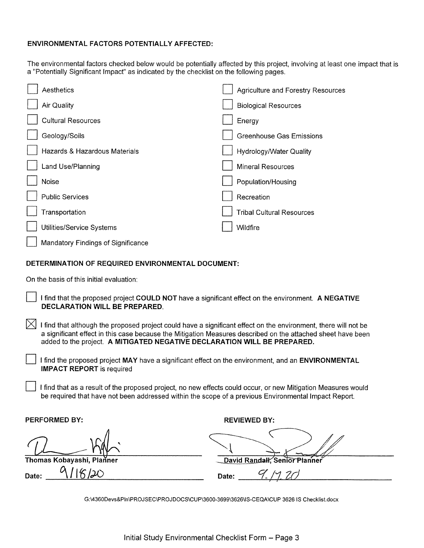# **ENVIRONMENTAL FACTORS POTENTIALLY AFFECTED:**

The environmental factors checked below would be potentially affected by this project, involving at least one impact that is a "Potentially Significant Impact" as indicated by the checklist on the following pages.

| Aesthetics                         | Agriculture and Forestry Resources |
|------------------------------------|------------------------------------|
| Air Quality                        | <b>Biological Resources</b>        |
| <b>Cultural Resources</b>          | Energy                             |
| Geology/Soils                      | <b>Greenhouse Gas Emissions</b>    |
| Hazards & Hazardous Materials      | Hydrology/Water Quality            |
| Land Use/Planning                  | <b>Mineral Resources</b>           |
| Noise                              | Population/Housing                 |
| <b>Public Services</b>             | Recreation                         |
| Transportation                     | <b>Tribal Cultural Resources</b>   |
| Utilities/Service Systems          | Wildfire                           |
| Mandatory Findings of Significance |                                    |

# **DETERMINATION OF REQUIRED ENVIRONMENTAL DOCUMENT:**

On the basis of this initial evaluation:

- D I find that the proposed project **COULD NOT** have a significant effect on the environment. **A NEGATIVE DECLARATION WILL BE PREPARED.**
- I find that although the proposed project could have a significant effect on the environment, there will not be a significant effect in this case because the Mitigation Measures described on the attached sheet have been added to the project. **A MITIGATED NEGATIVE DECLARATION WILL BE PREPARED.** 
	- D I find the proposed project **MAY** have a significant effect on the environment, and an **ENVIRONMENTAL IMPACT REPORT** is required
	- I find that as a result of the proposed project, no new effects could occur, or new Mitigation Measures would be required that have not been addressed within the scope of a previous Environmental Impact Report.

**PERFORMED BY: REVIEWED BY: REVIEWED BY:** 

**Thomas Kobayashi, Planner**  Date:  $9/16/20$ **Planner**<br>Planner<br>20

REVIEWED BY:<br>
David Randall, Senior Planner<br>
Date: <u>9.</u> /1, 20

G:\4360Devs&Pln\PROJSEC\PROJDOCS\CUP\3600-3699\3626\IS-CEQA \CUP 3626 IS Checklist.docx

**\_**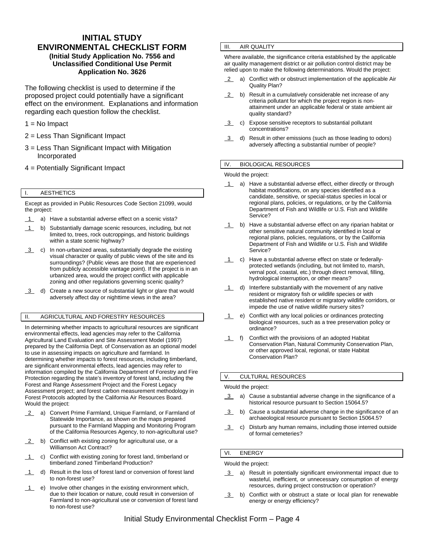# **INITIAL STUDY ENVIRONMENTAL CHECKLIST FORM (Initial Study Application No. 7556 and Unclassified Conditional Use Permit Application No. 3626**

The following checklist is used to determine if the proposed project could potentially have a significant effect on the environment. Explanations and information regarding each question follow the checklist.

- $1 = No$  Impact
- 2 = Less Than Significant Impact
- 3 = Less Than Significant Impact with Mitigation Incorporated
- 4 = Potentially Significant Impact

## I. AESTHETICS

Except as provided in Public Resources Code Section 21099, would the project:

- 1 a) Have a substantial adverse effect on a scenic vista?
- 1 b) Substantially damage scenic resources, including, but not limited to, trees, rock outcroppings, and historic buildings within a state scenic highway?
- 3 c) In non-urbanized areas, substantially degrade the existing visual character or quality of public views of the site and its surroundings? (Public views are those that are experienced from publicly accessible vantage point). If the project is in an urbanized area, would the project conflict with applicable zoning and other regulations governing scenic quality?
- 3 d) Create a new source of substantial light or glare that would adversely affect day or nighttime views in the area?

## II. AGRICULTURAL AND FORESTRY RESOURCES

In determining whether impacts to agricultural resources are significant environmental effects, lead agencies may refer to the California Agricultural Land Evaluation and Site Assessment Model (1997) prepared by the California Dept. of Conservation as an optional model to use in assessing impacts on agriculture and farmland. In determining whether impacts to forest resources, including timberland, are significant environmental effects, lead agencies may refer to information compiled by the California Department of Forestry and Fire Protection regarding the state's inventory of forest land, including the Forest and Range Assessment Project and the Forest Legacy Assessment project; and forest carbon measurement methodology in Forest Protocols adopted by the California Air Resources Board. Would the project:

- 2 a) Convert Prime Farmland, Unique Farmland, or Farmland of Statewide Importance, as shown on the maps prepared pursuant to the Farmland Mapping and Monitoring Program of the California Resources Agency, to non-agricultural use?
- 2 b) Conflict with existing zoning for agricultural use, or a Williamson Act Contract?
- 1 c) Conflict with existing zoning for forest land, timberland or timberland zoned Timberland Production?
- 1 d) Result in the loss of forest land or conversion of forest land to non-forest use?
- $\overline{1}$  e) Involve other changes in the existing environment which, due to their location or nature, could result in conversion of Farmland to non-agricultural use or conversion of forest land to non-forest use?

## **III.** AIR QUALITY

Where available, the significance criteria established by the applicable air quality management district or air pollution control district may be relied upon to make the following determinations. Would the project:

- 2 a) Conflict with or obstruct implementation of the applicable Air Quality Plan?
- 2 b) Result in a cumulatively considerable net increase of any criteria pollutant for which the project region is nonattainment under an applicable federal or state ambient air quality standard?
- 3 c) Expose sensitive receptors to substantial pollutant concentrations?
- 3 d) Result in other emissions (such as those leading to odors) adversely affecting a substantial number of people?

#### IV. BIOLOGICAL RESOURCES

Would the project:

- 1 a) Have a substantial adverse effect, either directly or through habitat modifications, on any species identified as a candidate, sensitive, or special-status species in local or regional plans, policies, or regulations, or by the California Department of Fish and Wildlife or U.S. Fish and Wildlife Service?
- 1 b) Have a substantial adverse effect on any riparian habitat or other sensitive natural community identified in local or regional plans, policies, regulations, or by the California Department of Fish and Wildlife or U.S. Fish and Wildlife Service?
- 1 c) Have a substantial adverse effect on state or federallyprotected wetlands (including, but not limited to, marsh, vernal pool, coastal, etc.) through direct removal, filling, hydrological interruption, or other means?
- 1 d) Interfere substantially with the movement of any native resident or migratory fish or wildlife species or with established native resident or migratory wildlife corridors, or impede the use of native wildlife nursery sites?
- 1 e) Conflict with any local policies or ordinances protecting biological resources, such as a tree preservation policy or ordinance?
- 1 f) Conflict with the provisions of an adopted Habitat Conservation Plan, Natural Community Conservation Plan, or other approved local, regional, or state Habitat Conservation Plan?

#### V. CULTURAL RESOURCES

#### Would the project:

- 3 a) Cause a substantial adverse change in the significance of a historical resource pursuant to Section 15064.5?
- 3 b) Cause a substantial adverse change in the significance of an archaeological resource pursuant to Section 15064.5?
- 3 c) Disturb any human remains, including those interred outside of formal cemeteries?

## VI. ENERGY

Would the project:

- 3 a) Result in potentially significant environmental impact due to wasteful, inefficient, or unnecessary consumption of energy resources, during project construction or operation?
- 3 b) Conflict with or obstruct a state or local plan for renewable energy or energy efficiency?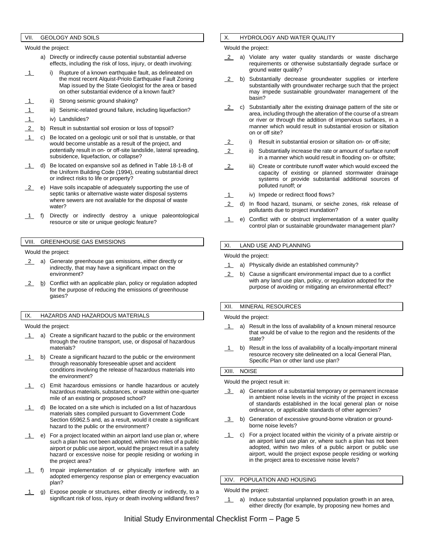### VII. GEOLOGY AND SOILS

Would the project:

- a) Directly or indirectly cause potential substantial adverse effects, including the risk of loss, injury, or death involving:
- 1 i) Rupture of a known earthquake fault, as delineated on the most recent Alquist-Priolo Earthquake Fault Zoning Map issued by the State Geologist for the area or based on other substantial evidence of a known fault?
- ii) Strong seismic ground shaking?
- iii) Seismic-related ground failure, including liquefaction?
- 1 iv) Landslides?
- 2 b) Result in substantial soil erosion or loss of topsoil?
- 1 c) Be located on a geologic unit or soil that is unstable, or that would become unstable as a result of the project, and potentially result in on- or off-site landslide, lateral spreading, subsidence, liquefaction, or collapse?
- d) Be located on expansive soil as defined in Table 18-1-B of the Uniform Building Code (1994), creating substantial direct or indirect risks to life or property?
- 2 e) Have soils incapable of adequately supporting the use of septic tanks or alternative waste water disposal systems where sewers are not available for the disposal of waste water?
- 1 f) Directly or indirectly destroy a unique paleontological resource or site or unique geologic feature?

### VIII. GREENHOUSE GAS EMISSIONS

Would the project:

- 2 a) Generate greenhouse gas emissions, either directly or indirectly, that may have a significant impact on the environment?
- 2 b) Conflict with an applicable plan, policy or regulation adopted for the purpose of reducing the emissions of greenhouse gases?

#### IX. HAZARDS AND HAZARDOUS MATERIALS

Would the project:

- 1 a) Create a significant hazard to the public or the environment through the routine transport, use, or disposal of hazardous materials?
- 1 b) Create a significant hazard to the public or the environment through reasonably foreseeable upset and accident conditions involving the release of hazardous materials into the environment?
- c) Emit hazardous emissions or handle hazardous or acutely hazardous materials, substances, or waste within one-quarter mile of an existing or proposed school?
- $1$  d) Be located on a site which is included on a list of hazardous materials sites compiled pursuant to Government Code Section 65962.5 and, as a result, would it create a significant hazard to the public or the environment?
- 1 e) For a project located within an airport land use plan or, where such a plan has not been adopted, within two miles of a public airport or public use airport, would the project result in a safety hazard or excessive noise for people residing or working in the project area?
- 1 f) Impair implementation of or physically interfere with an adopted emergency response plan or emergency evacuation plan?
- 1 g) Expose people or structures, either directly or indirectly, to a significant risk of loss, injury or death involving wildland fires?

## X. HYDROLOGY AND WATER QUALITY

Would the project:

- 2 a) Violate any water quality standards or waste discharge requirements or otherwise substantially degrade surface or ground water quality?
- 2 b) Substantially decrease groundwater supplies or interfere substantially with groundwater recharge such that the project may impede sustainable groundwater management of the basin?
- 2 c) Substantially alter the existing drainage pattern of the site or area, including through the alteration of the course of a stream or river or through the addition of impervious surfaces, in a manner which would result in substantial erosion or siltation on or off site?
- 2 i) Result in substantial erosion or siltation on- or off-site;
- 2 ii) Substantially increase the rate or amount of surface runoff in a manner which would result in flooding on- or offsite;
- 2 iii) Create or contribute runoff water which would exceed the capacity of existing or planned stormwater drainage systems or provide substantial additional sources of polluted runoff; or
- 1 iv) Impede or redirect flood flows?
- 2 d) In flood hazard, tsunami, or seiche zones, risk release of pollutants due to project inundation?
- 1 e) Conflict with or obstruct implementation of a water quality control plan or sustainable groundwater management plan?

## XI. LAND USE AND PLANNING

Would the project:

- 1 a) Physically divide an established community?
- 2 b) Cause a significant environmental impact due to a conflict with any land use plan, policy, or regulation adopted for the purpose of avoiding or mitigating an environmental effect?

#### XII. MINERAL RESOURCES

Would the project:

- 1 a) Result in the loss of availability of a known mineral resource that would be of value to the region and the residents of the state?
- 1 b) Result in the loss of availability of a locally-important mineral resource recovery site delineated on a local General Plan, Specific Plan or other land use plan?

#### XIII. NOISE

Would the project result in:

- 3 a) Generation of a substantial temporary or permanent increase in ambient noise levels in the vicinity of the project in excess of standards established in the local general plan or noise ordinance, or applicable standards of other agencies?
- 3 b) Generation of excessive ground-borne vibration or groundborne noise levels?
- 1 c) For a project located within the vicinity of a private airstrip or an airport land use plan or, where such a plan has not been adopted, within two miles of a public airport or public use airport, would the project expose people residing or working in the project area to excessive noise levels?

#### XIV. POPULATION AND HOUSING

Would the project:

1 a) Induce substantial unplanned population growth in an area, either directly (for example, by proposing new homes and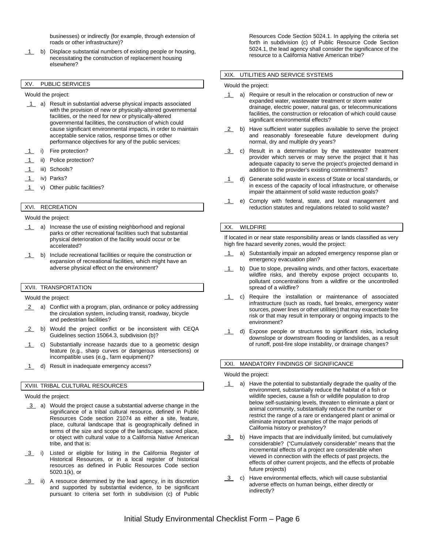businesses) or indirectly (for example, through extension of roads or other infrastructure)?

1 b) Displace substantial numbers of existing people or housing, necessitating the construction of replacement housing elsewhere?

## XV. PUBLIC SERVICES

Would the project:

- 1 a) Result in substantial adverse physical impacts associated with the provision of new or physically-altered governmental facilities, or the need for new or physically-altered governmental facilities, the construction of which could cause significant environmental impacts, in order to maintain acceptable service ratios, response times or other performance objectives for any of the public services:
- i) Fire protection?
- ii) Police protection?
- 1 iii) Schools?
- 1 iv) Parks?
- 1 v) Other public facilities?

# XVI. RECREATION

Would the project:

- 1 a) Increase the use of existing neighborhood and regional parks or other recreational facilities such that substantial physical deterioration of the facility would occur or be accelerated?
- 1 b) Include recreational facilities or require the construction or expansion of recreational facilities, which might have an adverse physical effect on the environment?

## XVII. TRANSPORTATION

Would the project:

- 2 a) Conflict with a program, plan, ordinance or policy addressing the circulation system, including transit, roadway, bicycle and pedestrian facilities?
- 2 b) Would the project conflict or be inconsistent with CEQA Guidelines section 15064.3, subdivision (b)?
- 1 c) Substantially increase hazards due to a geometric design feature (e.g., sharp curves or dangerous intersections) or incompatible uses (e.g., farm equipment)?
- 1 d) Result in inadequate emergency access?

#### XVIII. TRIBAL CULTURAL RESOURCES

Would the project:

- 3 a) Would the project cause a substantial adverse change in the significance of a tribal cultural resource, defined in Public Resources Code section 21074 as either a site, feature, place, cultural landscape that is geographically defined in terms of the size and scope of the landscape, sacred place, or object with cultural value to a California Native American tribe, and that is:
- 3 i) Listed or eligible for listing in the California Register of Historical Resources, or in a local register of historical resources as defined in Public Resources Code section 5020.1(k), or
- 3 ii) A resource determined by the lead agency, in its discretion and supported by substantial evidence, to be significant pursuant to criteria set forth in subdivision (c) of Public

Resources Code Section 5024.1. In applying the criteria set forth in subdivision (c) of Public Resource Code Section 5024.1, the lead agency shall consider the significance of the resource to a California Native American tribe?

#### XIX. UTILITIES AND SERVICE SYSTEMS

Would the project:

- 1 a) Require or result in the relocation or construction of new or expanded water, wastewater treatment or storm water drainage, electric power, natural gas, or telecommunications facilities, the construction or relocation of which could cause significant environmental effects?
- 2 b) Have sufficient water supplies available to serve the project and reasonably foreseeable future development during normal, dry and multiple dry years?
- 3 c) Result in a determination by the wastewater treatment provider which serves or may serve the project that it has adequate capacity to serve the project's projected demand in addition to the provider's existing commitments?
- 1 d) Generate solid waste in excess of State or local standards, or in excess of the capacity of local infrastructure, or otherwise impair the attainment of solid waste reduction goals?
- 1 e) Comply with federal, state, and local management and reduction statutes and regulations related to solid waste?

#### XX. WILDFIRE

If located in or near state responsibility areas or lands classified as very high fire hazard severity zones, would the project:

- a) Substantially impair an adopted emergency response plan or emergency evacuation plan?
- 1 b) Due to slope, prevailing winds, and other factors, exacerbate wildfire risks, and thereby expose project occupants to, pollutant concentrations from a wildfire or the uncontrolled spread of a wildfire?
- 1 c) Require the installation or maintenance of associated infrastructure (such as roads, fuel breaks, emergency water sources, power lines or other utilities) that may exacerbate fire risk or that may result in temporary or ongoing impacts to the environment?
- 1 d) Expose people or structures to significant risks, including downslope or downstream flooding or landslides, as a result of runoff, post-fire slope instability, or drainage changes?

### XXI. MANDATORY FINDINGS OF SIGNIFICANCE

Would the project:

- 1 a) Have the potential to substantially degrade the quality of the environment, substantially reduce the habitat of a fish or wildlife species, cause a fish or wildlife population to drop below self-sustaining levels, threaten to eliminate a plant or animal community, substantially reduce the number or restrict the range of a rare or endangered plant or animal or eliminate important examples of the major periods of California history or prehistory?
- 3 b) Have impacts that are individually limited, but cumulatively considerable? ("Cumulatively considerable" means that the incremental effects of a project are considerable when viewed in connection with the effects of past projects, the effects of other current projects, and the effects of probable future projects)
- 3 c) Have environmental effects, which will cause substantial adverse effects on human beings, either directly or indirectly?